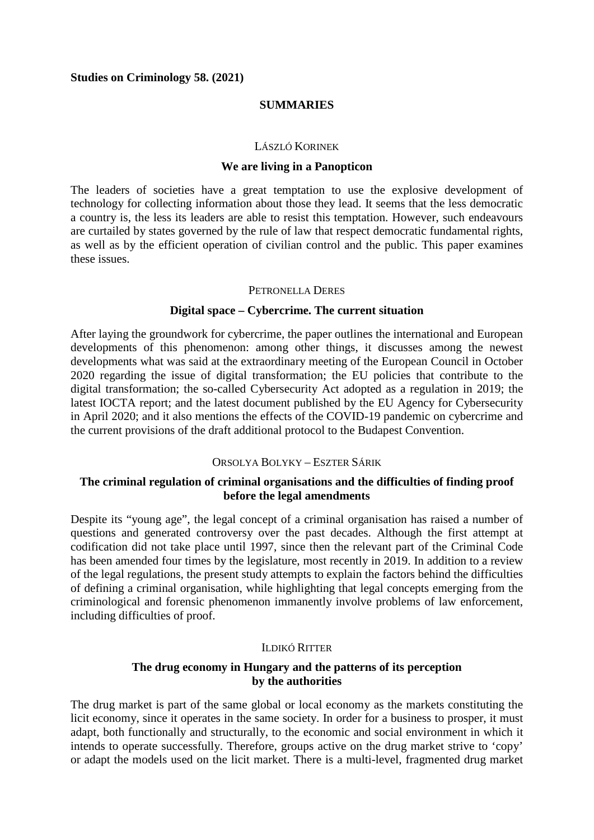## **SUMMARIES**

#### LÁSZLÓ KORINEK

#### **We are living in a Panopticon**

The leaders of societies have a great temptation to use the explosive development of technology for collecting information about those they lead. It seems that the less democratic a country is, the less its leaders are able to resist this temptation. However, such endeavours are curtailed by states governed by the rule of law that respect democratic fundamental rights, as well as by the efficient operation of civilian control and the public. This paper examines these issues.

#### PETRONELLA DERES

#### **Digital space – Cybercrime. The current situation**

After laying the groundwork for cybercrime, the paper outlines the international and European developments of this phenomenon: among other things, it discusses among the newest developments what was said at the extraordinary meeting of the European Council in October 2020 regarding the issue of digital transformation; the EU policies that contribute to the digital transformation; the so-called Cybersecurity Act adopted as a regulation in 2019; the latest IOCTA report; and the latest document published by the EU Agency for Cybersecurity in April 2020; and it also mentions the effects of the COVID-19 pandemic on cybercrime and the current provisions of the draft additional protocol to the Budapest Convention.

### ORSOLYA BOLYKY – ESZTER SÁRIK

### **The criminal regulation of criminal organisations and the difficulties of finding proof before the legal amendments**

Despite its "young age", the legal concept of a criminal organisation has raised a number of questions and generated controversy over the past decades. Although the first attempt at codification did not take place until 1997, since then the relevant part of the Criminal Code has been amended four times by the legislature, most recently in 2019. In addition to a review of the legal regulations, the present study attempts to explain the factors behind the difficulties of defining a criminal organisation, while highlighting that legal concepts emerging from the criminological and forensic phenomenon immanently involve problems of law enforcement, including difficulties of proof.

### ILDIKÓ RITTER

## **The drug economy in Hungary and the patterns of its perception by the authorities**

The drug market is part of the same global or local economy as the markets constituting the licit economy, since it operates in the same society. In order for a business to prosper, it must adapt, both functionally and structurally, to the economic and social environment in which it intends to operate successfully. Therefore, groups active on the drug market strive to 'copy' or adapt the models used on the licit market. There is a multi-level, fragmented drug market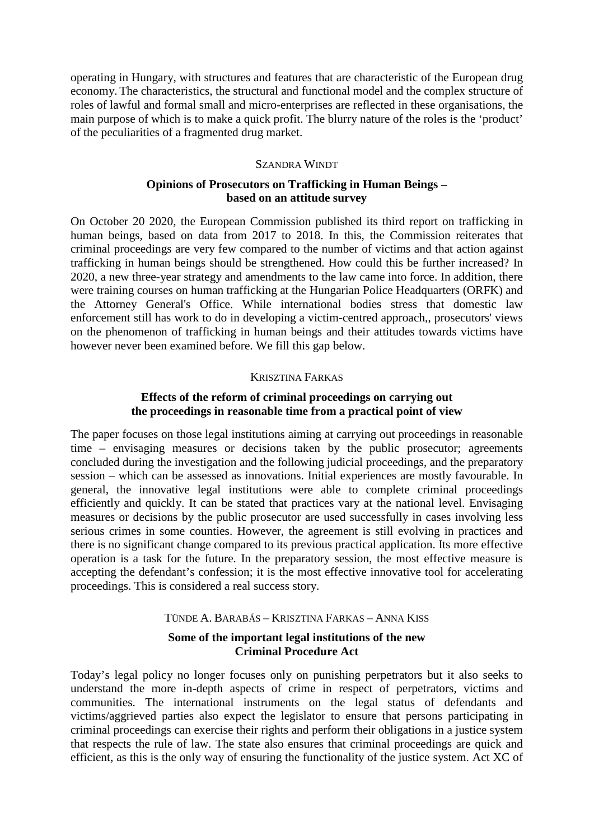operating in Hungary, with structures and features that are characteristic of the European drug economy. The characteristics, the structural and functional model and the complex structure of roles of lawful and formal small and micro-enterprises are reflected in these organisations, the main purpose of which is to make a quick profit. The blurry nature of the roles is the 'product' of the peculiarities of a fragmented drug market.

## SZANDRA WINDT

# **Opinions of Prosecutors on Trafficking in Human Beings – based on an attitude survey**

On October 20 2020, the European Commission published its third report on trafficking in human beings, based on data from 2017 to 2018. In this, the Commission reiterates that criminal proceedings are very few compared to the number of victims and that action against trafficking in human beings should be strengthened. How could this be further increased? In 2020, a new three-year strategy and amendments to the law came into force. In addition, there were training courses on human trafficking at the Hungarian Police Headquarters (ORFK) and the Attorney General's Office. While international bodies stress that domestic law enforcement still has work to do in developing a victim-centred approach,, prosecutors' views on the phenomenon of trafficking in human beings and their attitudes towards victims have however never been examined before. We fill this gap below.

# KRISZTINA FARKAS

# **Effects of the reform of criminal proceedings on carrying out the proceedings in reasonable time from a practical point of view**

The paper focuses on those legal institutions aiming at carrying out proceedings in reasonable time – envisaging measures or decisions taken by the public prosecutor; agreements concluded during the investigation and the following judicial proceedings, and the preparatory session – which can be assessed as innovations. Initial experiences are mostly favourable. In general, the innovative legal institutions were able to complete criminal proceedings efficiently and quickly. It can be stated that practices vary at the national level. Envisaging measures or decisions by the public prosecutor are used successfully in cases involving less serious crimes in some counties. However, the agreement is still evolving in practices and there is no significant change compared to its previous practical application. Its more effective operation is a task for the future. In the preparatory session, the most effective measure is accepting the defendant's confession; it is the most effective innovative tool for accelerating proceedings. This is considered a real success story.

### TÜNDE A. BARABÁS – KRISZTINA FARKAS – ANNA KISS

## **Some of the important legal institutions of the new Criminal Procedure Act**

Today's legal policy no longer focuses only on punishing perpetrators but it also seeks to understand the more in-depth aspects of crime in respect of perpetrators, victims and communities. The international instruments on the legal status of defendants and victims/aggrieved parties also expect the legislator to ensure that persons participating in criminal proceedings can exercise their rights and perform their obligations in a justice system that respects the rule of law. The state also ensures that criminal proceedings are quick and efficient, as this is the only way of ensuring the functionality of the justice system. Act XC of